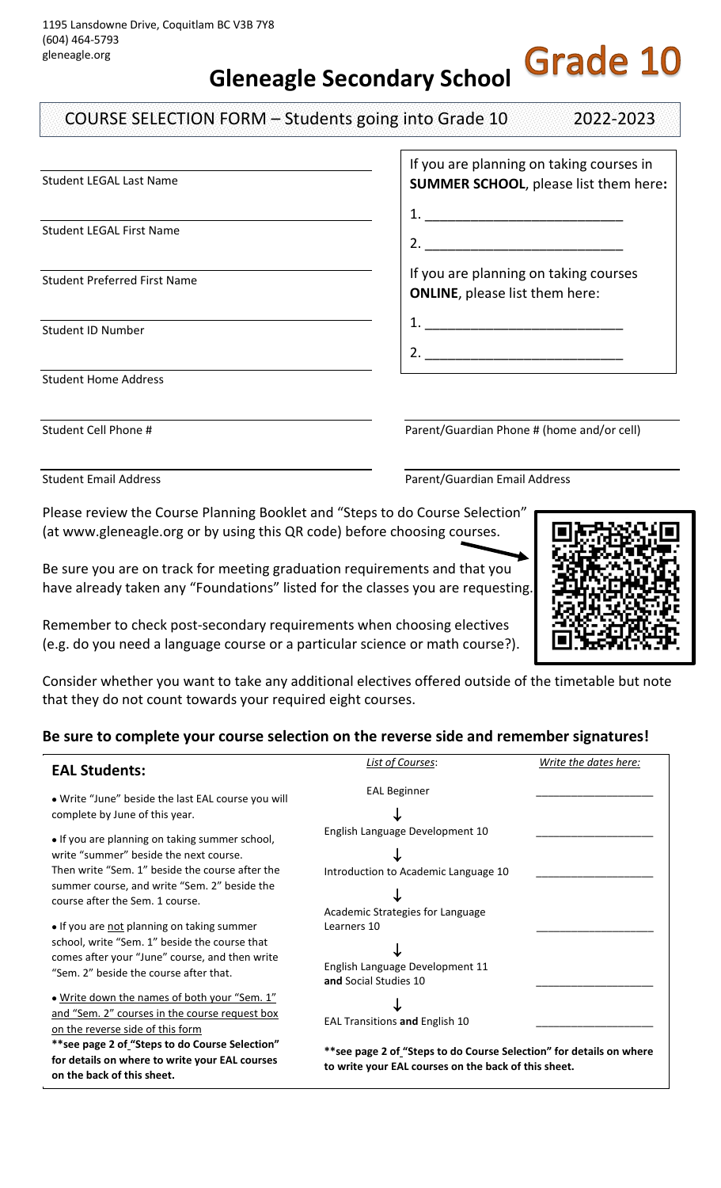**Gleneagle Secondary School**

COURSE SELECTION FORM – Students going into Grade 10 2022-2023

Student LEGAL Last Name

Student LEGAL First Name

Student Preferred First Name

Student ID Number

Student Home Address

Student Cell Phone # Parent/Guardian Phone # (home and/or cell)

1. \_\_\_\_\_\_\_\_\_\_\_\_\_\_\_\_\_\_\_\_\_\_\_\_\_\_

Student Email Address Parent/Guardian Email Address

Please review the Course Planning Booklet and "Steps to do Course Selection" (at www.gleneagle.org or by using this QR code) before choosing courses.

Be sure you are on track for meeting graduation requirements and that you have already taken any "Foundations" listed for the classes you are requesting.

Remember to check post-secondary requirements when choosing electives (e.g. do you need a language course or a particular science or math course?).

Consider whether you want to take any additional electives offered outside of the timetable but note that they do not count towards your required eight courses.

## **Be sure to complete your course selection on the reverse side and remember signatures!**

| <b>EAL Students:</b>                                                                                                                                                                                                                                                  | <b>List of Courses:</b>                                                                                                                                       | Write the dates here: |
|-----------------------------------------------------------------------------------------------------------------------------------------------------------------------------------------------------------------------------------------------------------------------|---------------------------------------------------------------------------------------------------------------------------------------------------------------|-----------------------|
| • Write "June" beside the last EAL course you will<br>complete by June of this year.                                                                                                                                                                                  | <b>EAL Beginner</b>                                                                                                                                           |                       |
| • If you are planning on taking summer school,<br>write "summer" beside the next course.<br>Then write "Sem. 1" beside the course after the<br>summer course, and write "Sem. 2" beside the<br>course after the Sem. 1 course.                                        | English Language Development 10<br>Introduction to Academic Language 10<br>Academic Strategies for Language                                                   |                       |
| • If you are not planning on taking summer<br>school, write "Sem. 1" beside the course that<br>comes after your "June" course, and then write<br>"Sem. 2" beside the course after that.                                                                               | Learners 10<br>English Language Development 11<br>and Social Studies 10                                                                                       |                       |
| . Write down the names of both your "Sem. 1"<br>and "Sem. 2" courses in the course request box<br>on the reverse side of this form<br>** see page 2 of "Steps to do Course Selection"<br>for details on where to write your EAL courses<br>on the back of this sheet. | EAL Transitions and English 10<br>**see page 2 of "Steps to do Course Selection" for details on where<br>to write your EAL courses on the back of this sheet. |                       |

1. \_\_\_\_\_\_\_\_\_\_\_\_\_\_\_\_\_\_\_\_\_\_\_\_\_\_ 2. If you are planning on taking courses **ONLINE**, please list them here:

If you are planning on taking courses in **SUMMER SCHOOL**, please list them here**:**

2. \_\_\_\_\_\_\_\_\_\_\_\_\_\_\_\_\_\_\_\_\_\_\_\_\_\_

**Grade 10**